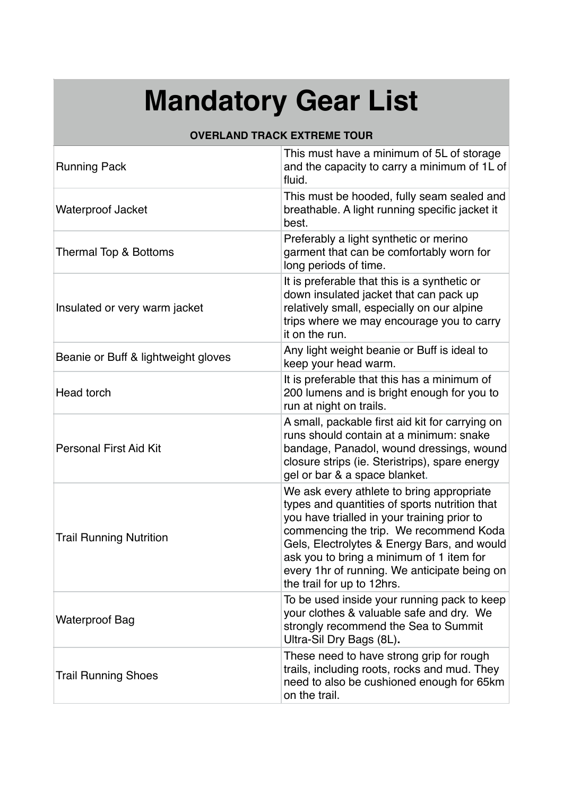## **Mandatory Gear List**

## **OVERLAND TRACK EXTREME TOUR**

| <b>Running Pack</b>                 | This must have a minimum of 5L of storage<br>and the capacity to carry a minimum of 1L of<br>fluid.                                                                                                                                                                                                                                                          |
|-------------------------------------|--------------------------------------------------------------------------------------------------------------------------------------------------------------------------------------------------------------------------------------------------------------------------------------------------------------------------------------------------------------|
| <b>Waterproof Jacket</b>            | This must be hooded, fully seam sealed and<br>breathable. A light running specific jacket it<br>best.                                                                                                                                                                                                                                                        |
| Thermal Top & Bottoms               | Preferably a light synthetic or merino<br>garment that can be comfortably worn for<br>long periods of time.                                                                                                                                                                                                                                                  |
| Insulated or very warm jacket       | It is preferable that this is a synthetic or<br>down insulated jacket that can pack up<br>relatively small, especially on our alpine<br>trips where we may encourage you to carry<br>it on the run.                                                                                                                                                          |
| Beanie or Buff & lightweight gloves | Any light weight beanie or Buff is ideal to<br>keep your head warm.                                                                                                                                                                                                                                                                                          |
| Head torch                          | It is preferable that this has a minimum of<br>200 lumens and is bright enough for you to<br>run at night on trails.                                                                                                                                                                                                                                         |
| <b>Personal First Aid Kit</b>       | A small, packable first aid kit for carrying on<br>runs should contain at a minimum: snake<br>bandage, Panadol, wound dressings, wound<br>closure strips (ie. Steristrips), spare energy<br>gel or bar & a space blanket.                                                                                                                                    |
| <b>Trail Running Nutrition</b>      | We ask every athlete to bring appropriate<br>types and quantities of sports nutrition that<br>you have trialled in your training prior to<br>commencing the trip. We recommend Koda<br>Gels, Electrolytes & Energy Bars, and would<br>ask you to bring a minimum of 1 item for<br>every 1hr of running. We anticipate being on<br>the trail for up to 12hrs. |
| <b>Waterproof Bag</b>               | To be used inside your running pack to keep<br>your clothes & valuable safe and dry. We<br>strongly recommend the Sea to Summit<br>Ultra-Sil Dry Bags (8L).                                                                                                                                                                                                  |
| <b>Trail Running Shoes</b>          | These need to have strong grip for rough<br>trails, including roots, rocks and mud. They<br>need to also be cushioned enough for 65km<br>on the trail.                                                                                                                                                                                                       |